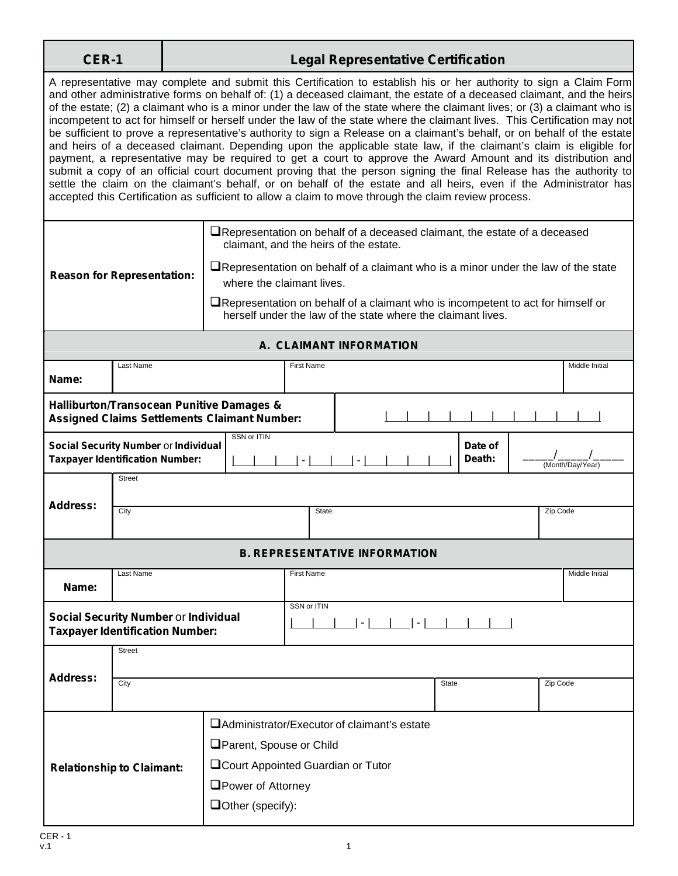| -  | ı   |
|----|-----|
|    |     |
| сг | - 1 |

## **CER-1 Legal Representative Certification**

A representative may complete and submit this Certification to establish his or her authority to sign a Claim Form and other administrative forms on behalf of: (1) a deceased claimant, the estate of a deceased claimant, and the heirs of the estate; (2) a claimant who is a minor under the law of the state where the claimant lives; or (3) a claimant who is incompetent to act for himself or herself under the law of the state where the claimant lives. This Certification may not be sufficient to prove a representative's authority to sign a Release on a claimant's behalf, or on behalf of the estate and heirs of a deceased claimant. Depending upon the applicable state law, if the claimant's claim is eligible for payment, a representative may be required to get a court to approve the Award Amount and its distribution and submit a copy of an official court document proving that the person signing the final Release has the authority to settle the claim on the claimant's behalf, or on behalf of the estate and all heirs, even if the Administrator has accepted this Certification as sufficient to allow a claim to move through the claim review process.

|                                                                                                             | <b>Reason for Representation:</b>                                              | $\Box$ Representation on behalf of a deceased claimant, the estate of a deceased<br>claimant, and the heirs of the estate.<br>$\Box$ Representation on behalf of a claimant who is a minor under the law of the state<br>where the claimant lives.<br>$\Box$ Representation on behalf of a claimant who is incompetent to act for himself or<br>herself under the law of the state where the claimant lives. |                   |        |  |              |                   |  |                  |
|-------------------------------------------------------------------------------------------------------------|--------------------------------------------------------------------------------|--------------------------------------------------------------------------------------------------------------------------------------------------------------------------------------------------------------------------------------------------------------------------------------------------------------------------------------------------------------------------------------------------------------|-------------------|--------|--|--------------|-------------------|--|------------------|
| A. CLAIMANT INFORMATION                                                                                     |                                                                                |                                                                                                                                                                                                                                                                                                                                                                                                              |                   |        |  |              |                   |  |                  |
| Name:                                                                                                       | Last Name                                                                      |                                                                                                                                                                                                                                                                                                                                                                                                              | <b>First Name</b> |        |  |              |                   |  | Middle Initial   |
| <b>Halliburton/Transocean Punitive Damages &amp;</b><br><b>Assigned Claims Settlements Claimant Number:</b> |                                                                                |                                                                                                                                                                                                                                                                                                                                                                                                              |                   |        |  |              |                   |  |                  |
|                                                                                                             | Social Security Number or Individual<br><b>Taxpayer Identification Number:</b> | SSN or ITIN                                                                                                                                                                                                                                                                                                                                                                                                  | $\lnot$           | $\sim$ |  |              | Date of<br>Death: |  | (Month/Day/Year) |
| <b>Address:</b>                                                                                             | <b>Street</b><br>City<br><b>State</b>                                          |                                                                                                                                                                                                                                                                                                                                                                                                              |                   |        |  |              |                   |  | Zip Code         |
| <b>B. REPRESENTATIVE INFORMATION</b>                                                                        |                                                                                |                                                                                                                                                                                                                                                                                                                                                                                                              |                   |        |  |              |                   |  |                  |
| Name:                                                                                                       | Last Name<br><b>First Name</b>                                                 |                                                                                                                                                                                                                                                                                                                                                                                                              |                   |        |  |              |                   |  | Middle Initial   |
| SSN or ITIN<br>Social Security Number or Individual<br>$-1$<br><b>Taxpayer Identification Number:</b>       |                                                                                |                                                                                                                                                                                                                                                                                                                                                                                                              |                   |        |  |              |                   |  |                  |
| <b>Address:</b>                                                                                             | <b>Street</b><br>City                                                          |                                                                                                                                                                                                                                                                                                                                                                                                              |                   |        |  | <b>State</b> |                   |  | Zip Code         |
|                                                                                                             | <b>Relationship to Claimant:</b>                                               | □ Administrator/Executor of claimant's estate<br>Parent, Spouse or Child<br><b>QCourt Appointed Guardian or Tutor</b><br>□Power of Attorney<br>$\Box$ Other (specify):                                                                                                                                                                                                                                       |                   |        |  |              |                   |  |                  |